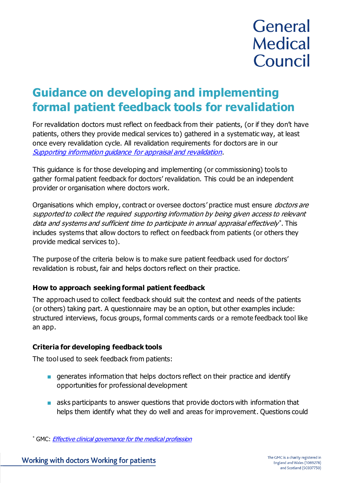# General **Medical** Council

# **Guidance on developing and implementing formal patient feedback tools for revalidation**

For revalidation doctors must reflect on feedback from their patients, (or if they don't have patients, others they provide medical services to) gathered in a systematic way, at least once every revalidation cycle. All revalidation requirements for doctors are in our [Supporting information guidance for appraisal and revalidation](https://www.gmc-uk.org/registration-and-licensing/managing-your-registration/revalidation/guidance-on-supporting-information-for-appraisal-and-revalidation/your-supporting-information---feedback-from-patients-or-those-to-whom-you-provide-medical-services).

This guidance is for those developing and implementing (or commissioning) tools to gather formal patient feedback for doctors' revalidation. This could be an independent provider or organisation where doctors work.

Organisations which employ, contract or oversee doctors' practice must ensure *doctors are* supported to collect the required supporting information by being given access to relevant data and systems and sufficient time to participate in annual appraisal effectively\*. This includes systems that allow doctors to reflect on feedback from patients (or others they provide medical services to).

The purpose of the criteria below is to make sure patient feedback used for doctors' revalidation is robust, fair and helps doctors reflect on their practice.

## **How to approach seeking formal patient feedback**

The approach used to collect feedback should suit the context and needs of the patients (or others) taking part. A questionnaire may be an option, but other examples include: structured interviews, focus groups, formal comments cards or a remote feedback tool like an app.

## **Criteria for developing feedback tools**

The tool used to seek feedback from patients:

- generates information that helps doctors reflect on their practice and identify opportunities for professional development
- asks participants to answer questions that provide doctors with information that helps them identify what they do well and areas for improvement. Questions could

<sup>\*</sup> GMC: *[Effective clinical governance for the medical profession](https://www.gmc-uk.org/registration-and-licensing/employers-medical-schools-and-colleges/effective-clinical-governance-for-the-medical-profession)*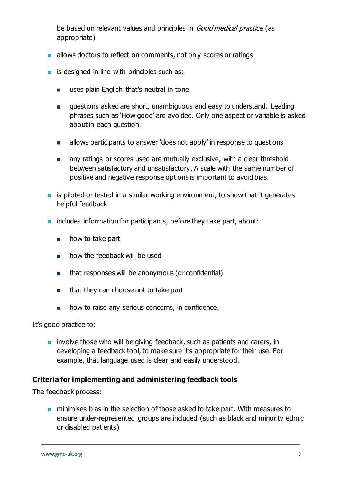be based on relevant values and principles in Good medical practice (as appropriate)

- allows doctors to reflect on comments, not only scores or ratings
- $\blacksquare$  is designed in line with principles such as:
	- uses plain English that's neutral in tone
	- questions asked are short, unambiguous and easy to understand. Leading phrases such as 'How good' are avoided. Only one aspect or variable is asked about in each question.
	- allows participants to answer 'does not apply' in response to questions
	- any ratings or scores used are mutually exclusive, with a clear threshold between satisfactory and unsatisfactory. A scale with the same number of positive and negative response options is important to avoid bias.
- $\blacksquare$  is piloted or tested in a similar working environment, to show that it generates helpful feedback
- includes information for participants, before they take part, about:
	- how to take part
	- how the feedback will be used
	- that responses will be anonymous (or confidential)
	- that they can choose not to take part
	- how to raise any serious concerns, in confidence.

It's good practice to:

■ involve those who will be giving feedback, such as patients and carers, in developing a feedback tool, to make sure it's appropriate for their use. For example, that language used is clear and easily understood.

#### **Criteria for implementing and administering feedback tools**

The feedback process:

■ minimises bias in the selection of those asked to take part. With measures to ensure under-represented groups are included (such as black and minority ethnic or disabled patients)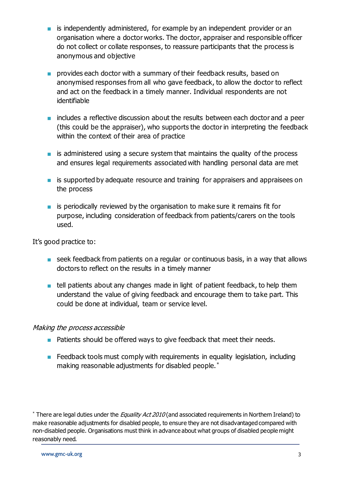- is independently administered, for example by an independent provider or an organisation where a doctor works. The doctor, appraiser and responsible officer do not collect or collate responses, to reassure participants that the process is anonymous and objective
- provides each doctor with a summary of their feedback results, based on anonymised responses from all who gave feedback, to allow the doctor to reflect and act on the feedback in a timely manner. Individual respondents are not identifiable
- includes a reflective discussion about the results between each doctor and a peer (this could be the appraiser), who supports the doctor in interpreting the feedback within the context of their area of practice
- is administered using a secure system that maintains the quality of the process and ensures legal requirements associated with handling personal data are met
- is supported by adequate resource and training for appraisers and appraisees on the process
- is periodically reviewed by the organisation to make sure it remains fit for purpose, including consideration of feedback from patients/carers on the tools used.

It's good practice to:

- seek feedback from patients on a regular or continuous basis, in a way that allows doctors to reflect on the results in a timely manner
- tell patients about any changes made in light of patient feedback, to help them understand the value of giving feedback and encourage them to take part. This could be done at individual, team or service level.

#### Making the process accessible

- Patients should be offered ways to give feedback that meet their needs.
- Feedback tools must comply with requirements in equality legislation, including making reasonable adjustments for disabled people.\*

<sup>\*</sup> There are legal duties under the *Equality Act 2010* (and associated requirements in Northern Ireland) to make reasonable adjustments for disabled people, to ensure they are not disadvantaged compared with non-disabled people. Organisations must think in advance about what groups of disabled people might reasonably need.